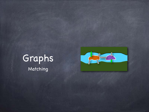

Matching

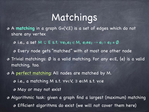## Matchings

A **matching** in a graph G=(V,E) is a set of edges which do not share any vertex

 $\bullet$  i.e., a set M ⊆ E s.t.  $\forall e_1, e_2 \in M$ ,  $e_1 \neq e_2 \rightarrow e_1 \cap e_2 = \emptyset$ 

Every node gets "matched" with at most one other node

Trivial matchings: Ø is a valid matching. For any e∈E, {e} is a valid matching, too.

A perfect matching: All nodes are matched by M.

i.e., a matching M s.t. ∀v∈V, ∃ e∈M s.t. v∈e

May or may not exist

Algorithmic task: given a graph find a largest (maximum) matching Efficient algorithms do exist (we will not cover them here)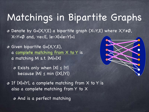## Matchings in Bipartite Graphs

Denote by G=(X,Y,E) a bipartite graph (X∪Y,E) where X,Y≠Ø, X∩Y=Ø and, ∀e∈E, |e∩X|=|e∩Y|=1

Given bipartite G=(X,Y,E), a complete matching from X to Y is a matching M s.t. |M|=|X|

Exists only when |X| ≤ |Y| because |M| ≤ min (|X|,|Y|)

**B** If  $|X|=|Y|$ , a complete matching from X to Y is also a complete matching from Y to X

And is a perfect matching

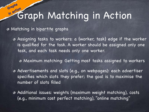#### Graph Matching in Action **in action**

Matching in bipartite graphs

**Graphs** 

Assigning tasks to workers: a {worker, task} edge if the worker is qualified for the task. A worker should be assigned only one task, and each task needs only one worker.

Maximum matching: Getting most tasks assigned to workers

Advertisements and slots (e.g., on webpages): each advertiser specifies which slots they prefer; the goal is to maximise the number of slots filled

Additional issues: weights (maximum weight matching), costs (e.g., minimum cost perfect matching), "online matching"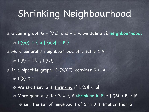# Shrinking Neighbourhood

Given a graph G = (V,E), and v ∈ V, we define v's **neighbourhood**: **Γ({v})** ≜ **{ u | {u,v}** ∈ **E }** More generally, neighbourhood of a set S ⊆ V:  $\odot$  Γ(S)  $\triangleq$   $\bigcup_{v \in S} \Gamma({v})$ In a bipartite graph, G=(X,Y,E), consider S ⊆ X  $\odot$   $\Gamma(S) \subseteq Y$ We shall say S is shrinking if |Γ(S)| < |S| More generally, for B ⊆ Y, S shrinking in B if |Γ(S) ∩ B| < |S| i.e., the set of neighbours of S in B is smaller than S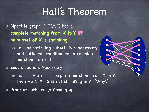Bipartite graph G=(X,Y,E) has a **complete matching from X to Y iff no subset of X is shrinking**

i.e., "no shrinking subset" is a necessary and sufficient condition for a complete matching to exist

Easy direction: Necessary

 $\bullet$  i.e., If there is a complete matching from X to Y, then  $\forall S \subseteq X$ , S is not shrinking in Y [Why?]

Proof of sufficiency: Coming up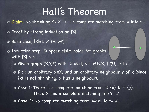- **Claim**: No shrinking S⊆X → ∃ a complete matching from X into Y
- Proof by strong induction on |X|.
- $\odot$  Base case,  $|X|=1$ :  $\checkmark$  (How?)
- Induction step: Suppose claim holds for graphs with  $|X| \leq k$ .
	- $\circ$  Given graph (X,Y,E) with  $|X|=k+1$ , s.t.  $\forall U \subseteq X$ ,  $|\Gamma(U)| \geq |U|$
	- Pick an arbitrary x∈X, and an arbitrary neighbour y of x (since {x} is not shrinking, x has a neighbour).
	- **B** Case 1: There is a complete matching from X-{x} to Y-{y}. Then, X has a complete matching into Y  $\checkmark$  $\bullet$  Case 2: No complete matching from X-{x} to Y-{y}.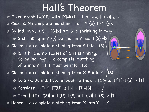By ind. hyp., ∃ S ⊆ X-{x} s.t. S is shrinking in Y-{y} S shrinking in Y-{y} but not in Y. So, |Γ(S)|=|S| Claim: ∃ a complete matching from S into Γ(S) |S| ≤ k, and no subset of S is shrinking. So by ind. hyp. ∃ a complete matching of S into Y. This must be into  $\Gamma(S)$ Claim: ∃ a complete matching from X-S into Y-Γ(S) |X-S|≤k. By ind. hyp., enough to show ∀T⊆X-S, |Γ(T )-Γ(S)| ≥ |T| Consider U=T∪S. |Γ(U)| ≥ |U| = |T|+|S|.  $\circ$  Then  $|\Gamma(T)-\Gamma(S)| = |\Gamma(U)-\Gamma(S)| = |\Gamma(U)|-|\Gamma(S)| \geq |T|$ Hence ∃ a complete matching from X into Y Given graph (X,Y,E) with |X|=k+1, s.t. ∀U⊆X, |Γ(U)| ≥ |U|  $\circ$  Case 2: No complete matching from X-{x} to Y-{y}. ✓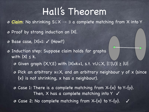- **Claim**: No shrinking S⊆X → ∃ a complete matching from X into Y
- Proof by strong induction on |X|.
- $\odot$  Base case,  $|X|=1$ :  $\checkmark$  (How?)
- Induction step: Suppose claim holds for graphs with  $|X| \leq k$ .
	- Given graph (X,Y,E) with |X|=k+1, s.t. ∀U⊆X, |Γ(U)| ≥ |U|
	- Pick an arbitrary x∈X, and an arbitrary neighbour y of x (since {x} is not shrinking, x has a neighbour).
	- **B** Case 1: There is a complete matching from X-{x} to Y-{y}. Then, X has a complete matching into Y  $\checkmark$
	- $\circ$  Case 2: No complete matching from X-{x} to Y-{y}.  $\checkmark$